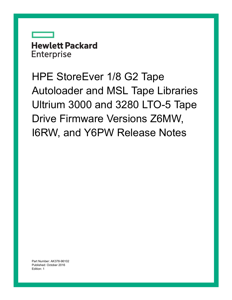**Hewlett Packard Enterprise** 

HPE StoreEver 1/8 G2 Tape Autoloader and MSL Tape Libraries Ultrium 3000 and 3280 LTO-5 Tape Drive Firmware Versions Z6MW, I6RW, and Y6PW Release Notes

Part Number: AK378-96102 Published: October 2016 Edition: 1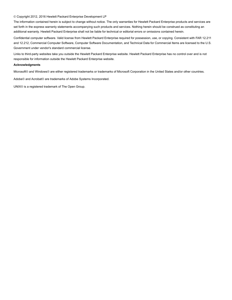#### © Copyright 2012, 2016 Hewlett Packard Enterprise Development LP

The information contained herein is subject to change without notice. The only warranties for Hewlett Packard Enterprise products and services are set forth in the express warranty statements accompanying such products and services. Nothing herein should be construed as constituting an additional warranty. Hewlett Packard Enterprise shall not be liable for technical or editorial errors or omissions contained herein.

Confidential computer software. Valid license from Hewlett Packard Enterprise required for possession, use, or copying. Consistent with FAR 12.211 and 12.212, Commercial Computer Software, Computer Software Documentation, and Technical Data for Commercial Items are licensed to the U.S. Government under vendor's standard commercial license.

Links to third-party websites take you outside the Hewlett Packard Enterprise website. Hewlett Packard Enterprise has no control over and is not responsible for information outside the Hewlett Packard Enterprise website.

#### **Acknowledgments**

Microsoft® and Windows® are either registered trademarks or trademarks of Microsoft Corporation in the United States and/or other countries.

Adobe® and Acrobat® are trademarks of Adobe Systems Incorporated.

UNIX® is a registered trademark of The Open Group.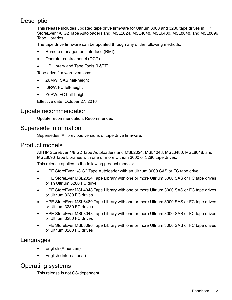# **Description**

This release includes updated tape drive firmware for Ultrium 3000 and 3280 tape drives in HP StoreEver 1/8 G2 Tape Autoloaders and MSL2024, MSL4048, MSL6480, MSL8048, and MSL8096 Tape Libraries.

The tape drive firmware can be updated through any of the following methods:

- Remote management interface (RMI).
- Operator control panel (OCP).
- HP Library and Tape Tools (L&TT).

Tape drive firmware versions:

- Z6MW: SAS half-height
- I6RW: FC full-height
- Y6PW: FC half-height

Effective date: October 27, 2016

#### Update recommendation

Update recommendation: Recommended

## Supersede information

Supersedes: All previous versions of tape drive firmware.

## Product models

All HP StoreEver 1/8 G2 Tape Autoloaders and MSL2024, MSL4048, MSL6480, MSL8048, and MSL8096 Tape Libraries with one or more Ultrium 3000 or 3280 tape drives.

This release applies to the following product models:

- HPE StoreEver 1/8 G2 Tape Autoloader with an Ultrium 3000 SAS or FC tape drive
- HPE StoreEver MSL2024 Tape Library with one or more Ultrium 3000 SAS or FC tape drives or an Ultrium 3280 FC drive
- HPE StoreEver MSL4048 Tape Library with one or more Ultrium 3000 SAS or FC tape drives or Ultrium 3280 FC drives
- HPE StoreEver MSL6480 Tape Library with one or more Ultrium 3000 SAS or FC tape drives or Ultrium 3280 FC drives
- HPE StoreEver MSL8048 Tape Library with one or more Ultrium 3000 SAS or FC tape drives or Ultrium 3280 FC drives
- HPE StoreEver MSL8096 Tape Library with one or more Ultrium 3000 SAS or FC tape drives or Ultrium 3280 FC drives

## Languages

- English (American)
- English (International)

# Operating systems

This release is not OS-dependent.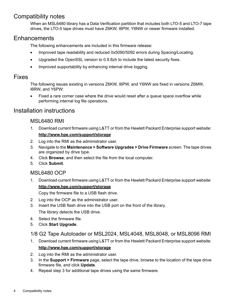# Compatibility notes

When an MSL6480 library has a Data Verification partition that includes both LTO-5 and LTO-7 tape drives, the LTO-5 tape drives must have Z6KW, I6PW, Y6NW or newer firmware installed.

## **Enhancements**

The following enhancements are included in this firmware release:

- Improved tape readability and reduced 0x5090/5092 errors during Spacing/Locating.
- Upgraded the OpenSSL version to 0.9.8zh to include the latest security fixes.
- Improved supportability by enhancing internal drive logging.

#### Fixes

The following issues existing in versions Z6KW, I6PW, and Y6NW are fixed in versions Z6MW, I6RW, and Y6PW:

• Fixed a rare corner case where the drive would reset after a queue space overflow while performing internal log file operations.

# Installation instructions

#### MSL6480 RMI

- 1. Download current firmware using L&TT or from the Hewlett Packard Enterprise support website: **<http://www.hpe.com/support/storage>**
- 2. Log into the RMI as the administrator user.
- 3. Navigate to the **Maintenance > Software Upgrades > Drive Firmware** screen. The tape drives are organized by drive type.
- 4. Click **Browse**, and then select the file from the local computer.
- 5. Click **Submit**.

#### MSL6480 OCP

1. Download current firmware using L&TT or from the Hewlett Packard Enterprise support website: **<http://www.hpe.com/support/storage>**

Copy the firmware file to a USB flash drive.

- 2. Log into the OCP as the administrator user.
- 3. Insert the USB flash drive into the USB port on the front of the library. The library detects the USB drive.
- 4. Select the firmware file.
- 5. Click **Start Upgrade**.
- 1/8 G2 Tape Autoloader or MSL2024, MSL4048, MSL8048, or MSL8096 RMI
- 1. Download current firmware using L&TT or from the Hewlett Packard Enterprise support website: **<http://www.hpe.com/support/storage>**
- 2. Log into the RMI as the administrator user.
- 3. In the **Support > Firmware** page, select the tape drive, browse to the location of the tape drive firmware file, and click **Update**.
- 4. Repeat step 3 for additional tape drives using the same firmware.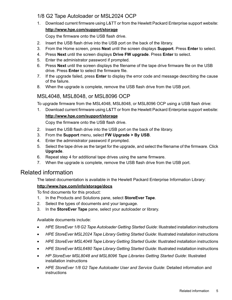## 1/8 G2 Tape Autoloader or MSL2024 OCP

1. Download current firmware using L&TT or from the Hewlett Packard Enterprise support website:

#### **<http://www.hpe.com/support/storage>**

Copy the firmware onto the USB flash drive.

- 2. Insert the USB flash drive into the USB port on the back of the library.
- 3. From the Home screen, press **Next** until the screen displays **Support**. Press **Enter** to select.
- 4. Press **Next** until the screen displays **Drive FW upgrade**. Press **Enter** to select.
- 5. Enter the administrator password if prompted.
- 6. Press **Next** until the screen displays the filename of the tape drive firmware file on the USB drive. Press **Enter** to select the firmware file.
- 7. If the upgrade failed, press **Enter** to display the error code and message describing the cause of the failure.
- 8. When the upgrade is complete, remove the USB flash drive from the USB port.

## MSL4048, MSL8048, or MSL8096 OCP

To upgrade firmware from the MSL4048, MSL8048, or MSL8096 OCP using a USB flash drive:

1. Download current firmware using L&TT or from the Hewlett Packard Enterprise support website:

#### **<http://www.hpe.com/support/storage>**

Copy the firmware onto the USB flash drive.

- 2. Insert the USB flash drive into the USB port on the back of the library.
- 3. From the **Support** menu, select **FW Upgrade > By USB**.
- 4. Enter the administrator password if prompted.
- 5. Select the tape drive as the target for the upgrade, and select the filename of the firmware. Click **Upgrade**.
- 6. Repeat step 4 for additional tape drives using the same firmware.
- 7. When the upgrade is complete, remove the USB flash drive from the USB port.

# Related information

The latest documentation is available in the Hewlett Packard Enterprise Information Library:

#### **<http://www.hpe.com/info/storage/docs>**

To find documents for this product:

- 1. In the Products and Solutions pane, select **StoreEver Tape**.
- 2. Select the types of documents and your language.
- 3. In the **StoreEver Tape** pane, select your autoloader or library.

Available documents include:

- *HPE StoreEver 1/8 G2 Tape Autoloader Getting Started Guide*: Illustrated installation instructions
- *HPE StoreEver MSL2024 Tape Library Getting Started Guide*: Illustrated installation instructions
- *HPE StoreEver MSL4048 Tape Library Getting Started Guide*: Illustrated installation instructions
- *HPE StoreEver MSL6480 Tape Library Getting Started Guide*: Illustrated installation instructions
- *HP StoreEver MSL8048 and MSL8096 Tape Libraries Getting Started Guide*: Illustrated installation instructions
- *HPE StoreEver 1/8 G2 Tape Autoloader User and Service Guide*: Detailed information and instructions